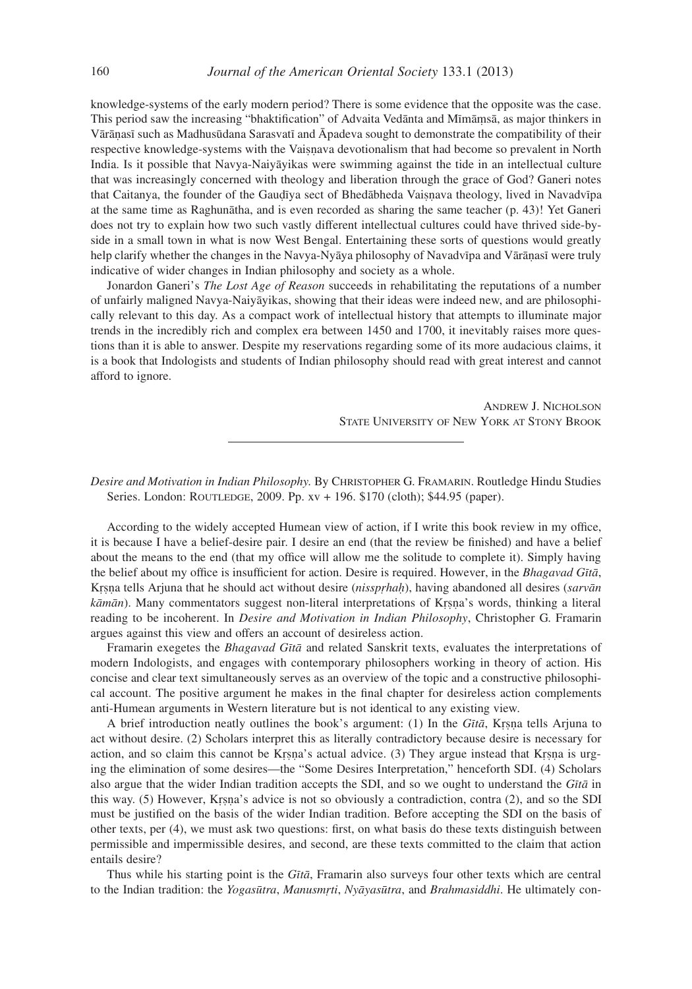knowledge-systems of the early modern period? There is some evidence that the opposite was the case. This period saw the increasing "bhaktification" of Advaita Vedānta and Mīmāṃsā, as major thinkers in Vārāṇasī such as Madhusūdana Sarasvatī and Āpadeva sought to demonstrate the compatibility of their respective knowledge-systems with the Vaiṣṇava devotionalism that had become so prevalent in North India. Is it possible that Navya-Naiyāyikas were swimming against the tide in an intellectual culture that was increasingly concerned with theology and liberation through the grace of God? Ganeri notes that Caitanya, the founder of the Gauḍīya sect of Bhedābheda Vaiṣṇava theology, lived in Navadvīpa at the same time as Raghunātha, and is even recorded as sharing the same teacher (p. 43)! Yet Ganeri does not try to explain how two such vastly different intellectual cultures could have thrived side-byside in a small town in what is now West Bengal. Entertaining these sorts of questions would greatly help clarify whether the changes in the Navya-Nyāya philosophy of Navadvīpa and Vārāṇasī were truly indicative of wider changes in Indian philosophy and society as a whole.

Jonardon Ganeri's *The Lost Age of Reason* succeeds in rehabilitating the reputations of a number of unfairly maligned Navya-Naiyāyikas, showing that their ideas were indeed new, and are philosophically relevant to this day. As a compact work of intellectual history that attempts to illuminate major trends in the incredibly rich and complex era between 1450 and 1700, it inevitably raises more questions than it is able to answer. Despite my reservations regarding some of its more audacious claims, it is a book that Indologists and students of Indian philosophy should read with great interest and cannot afford to ignore.

> Andrew J. Nicholson State University of New York at Stony Brook

*Desire and Motivation in Indian Philosophy.* By Christopher G. Framarin. Routledge Hindu Studies Series. London: ROUTLEDGE, 2009. Pp. xv + 196. \$170 (cloth); \$44.95 (paper).

According to the widely accepted Humean view of action, if I write this book review in my office, it is because I have a belief-desire pair. I desire an end (that the review be finished) and have a belief about the means to the end (that my office will allow me the solitude to complete it). Simply having the belief about my office is insufficient for action. Desire is required. However, in the *Bhagavad GItā*, Kṛṣṇa tells Arjuna that he should act without desire (*nisspṛhaḥ*), having abandoned all desires (*sarvān kāmān*). Many commentators suggest non-literal interpretations of Kṛṣṇa's words, thinking a literal reading to be incoherent. In *Desire and Motivation in Indian Philosophy*, Christopher G. Framarin argues against this view and offers an account of desireless action.

Framarin exegetes the *Bhagavad Gītā* and related Sanskrit texts, evaluates the interpretations of modern Indologists, and engages with contemporary philosophers working in theory of action. His concise and clear text simultaneously serves as an overview of the topic and a constructive philosophical account. The positive argument he makes in the final chapter for desireless action complements anti-Humean arguments in Western literature but is not identical to any existing view.

A brief introduction neatly outlines the book's argument: (1) In the *Gītā*, Kṛṣṇa tells Arjuna to act without desire. (2) Scholars interpret this as literally contradictory because desire is necessary for action, and so claim this cannot be Kṛṣṇa's actual advice. (3) They argue instead that Kṛṣṇa is urging the elimination of some desires—the "Some Desires Interpretation," henceforth SDI. (4) Scholars also argue that the wider Indian tradition accepts the SDI, and so we ought to understand the *Gītā* in this way. (5) However, Kṛṣṇa's advice is not so obviously a contradiction, contra (2), and so the SDI must be justified on the basis of the wider Indian tradition. Before accepting the SDI on the basis of other texts, per (4), we must ask two questions: first, on what basis do these texts distinguish between permissible and impermissible desires, and second, are these texts committed to the claim that action entails desire?

Thus while his starting point is the *Gītā*, Framarin also surveys four other texts which are central to the Indian tradition: the *Yogasūtra*, *Manusmṛti*, *Nyāyasūtra*, and *Brahmasiddhi*. He ultimately con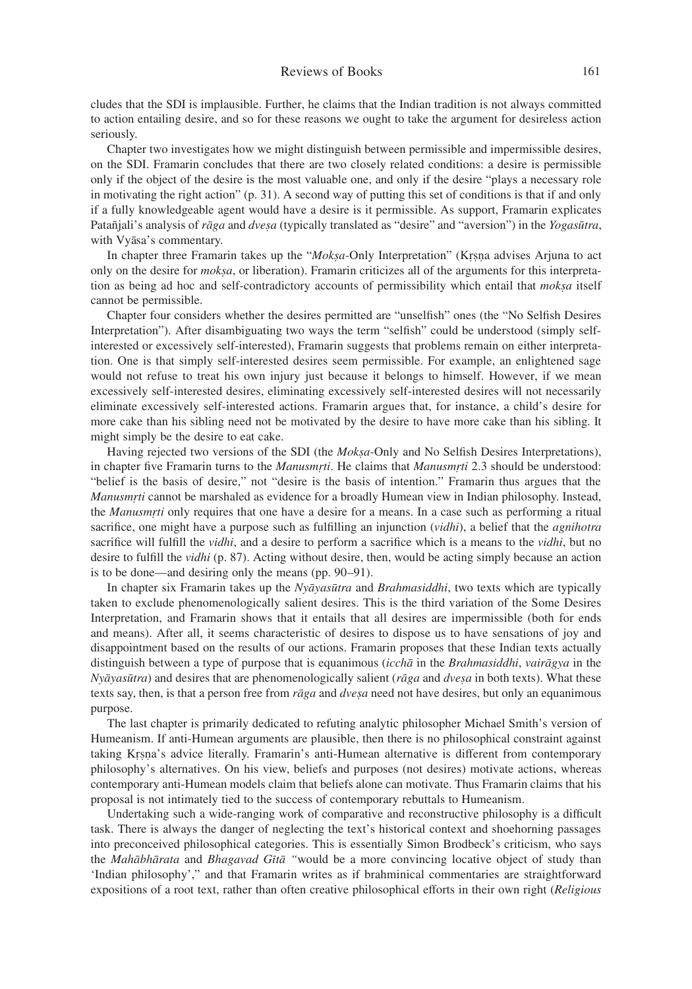cludes that the SDI is implausible. Further, he claims that the Indian tradition is not always committed to action entailing desire, and so for these reasons we ought to take the argument for desireless action seriously.

Chapter two investigates how we might distinguish between permissible and impermissible desires, on the SDI. Framarin concludes that there are two closely related conditions: a desire is permissible only if the object of the desire is the most valuable one, and only if the desire "plays a necessary role in motivating the right action" (p. 31). A second way of putting this set of conditions is that if and only if a fully knowledgeable agent would have a desire is it permissible. As support, Framarin explicates Patañjali's analysis of *rāga* and *dveṣa* (typically translated as "desire" and "aversion") in the *Yogasūtra*, with Vyāsa's commentary.

In chapter three Framarin takes up the "*Mokṣa-*Only Interpretation" (Kṛṣṇa advises Arjuna to act only on the desire for *mokṣa*, or liberation). Framarin criticizes all of the arguments for this interpretation as being ad hoc and self-contradictory accounts of permissibility which entail that *mokṣa* itself cannot be permissible.

Chapter four considers whether the desires permitted are "unselfish" ones (the "No Selfish Desires Interpretation"). After disambiguating two ways the term "selfish" could be understood (simply selfinterested or excessively self-interested), Framarin suggests that problems remain on either interpretation. One is that simply self-interested desires seem permissible. For example, an enlightened sage would not refuse to treat his own injury just because it belongs to himself. However, if we mean excessively self-interested desires, eliminating excessively self-interested desires will not necessarily eliminate excessively self-interested actions. Framarin argues that, for instance, a child's desire for more cake than his sibling need not be motivated by the desire to have more cake than his sibling. It might simply be the desire to eat cake.

Having rejected two versions of the SDI (the *Moksa*-Only and No Selfish Desires Interpretations), in chapter five Framarin turns to the *Manusmrti*. He claims that *Manusmrti* 2.3 should be understood: "belief is the basis of desire," not "desire is the basis of intention." Framarin thus argues that the *Manusmṛti* cannot be marshaled as evidence for a broadly Humean view in Indian philosophy. Instead, the *Manusmṛti* only requires that one have a desire for a means. In a case such as performing a ritual sacrifice, one might have a purpose such as fulfilling an injunction (*vidhi*), a belief that the *agnihotra* sacrifice will fulfill the *vidhi*, and a desire to perform a sacrifice which is a means to the *vidhi*, but no desire to fulfill the *vidhi* (p. 87). Acting without desire, then, would be acting simply because an action is to be done—and desiring only the means (pp. 90–91).

In chapter six Framarin takes up the *Nyāyasūtra* and *Brahmasiddhi*, two texts which are typically taken to exclude phenomenologically salient desires. This is the third variation of the Some Desires Interpretation, and Framarin shows that it entails that all desires are impermissible (both for ends and means). After all, it seems characteristic of desires to dispose us to have sensations of joy and disappointment based on the results of our actions. Framarin proposes that these Indian texts actually distinguish between a type of purpose that is equanimous (*icchā* in the *Brahmasiddhi*, *vairāgya* in the *Nyāyasūtra*) and desires that are phenomenologically salient (*rāga* and *dveṣa* in both texts). What these texts say, then, is that a person free from *rāga* and *dveṣa* need not have desires, but only an equanimous purpose.

The last chapter is primarily dedicated to refuting analytic philosopher Michael Smith's version of Humeanism. If anti-Humean arguments are plausible, then there is no philosophical constraint against taking Krṣṇa's advice literally. Framarin's anti-Humean alternative is different from contemporary philosophy's alternatives. On his view, beliefs and purposes (not desires) motivate actions, whereas contemporary anti-Humean models claim that beliefs alone can motivate. Thus Framarin claims that his proposal is not intimately tied to the success of contemporary rebuttals to Humeanism.

Undertaking such a wide-ranging work of comparative and reconstructive philosophy is a difficult task. There is always the danger of neglecting the text's historical context and shoehorning passages into preconceived philosophical categories. This is essentially Simon Brodbeck's criticism, who says the *Mahābhārata* and *Bhagavad Gītā "*would be a more convincing locative object of study than 'Indian philosophy'," and that Framarin writes as if brahminical commentaries are straightforward expositions of a root text, rather than often creative philosophical efforts in their own right (*Religious*